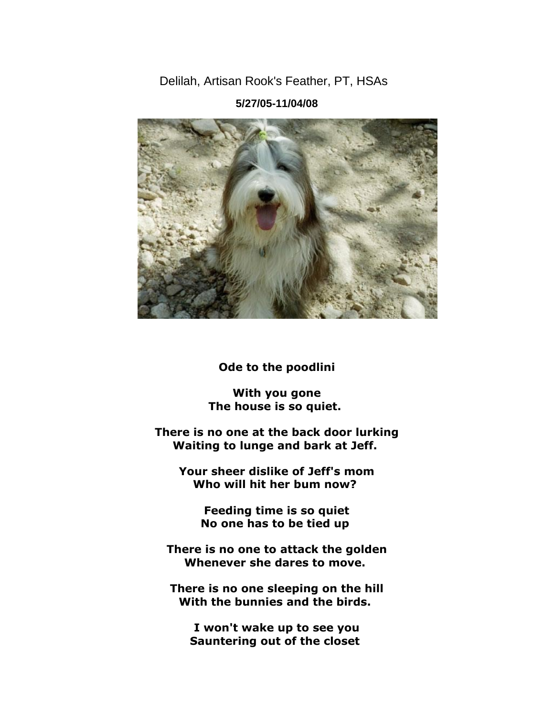Delilah, Artisan Rook's Feather, PT, HSAs



**5/27/05-11/04/08**

**Ode to the poodlini**

**With you gone The house is so quiet.**

**There is no one at the back door lurking Waiting to lunge and bark at Jeff.**

**Your sheer dislike of Jeff's mom Who will hit her bum now?**

> **Feeding time is so quiet No one has to be tied up**

**There is no one to attack the golden Whenever she dares to move.**

**There is no one sleeping on the hill With the bunnies and the birds.**

**I won't wake up to see you Sauntering out of the closet**